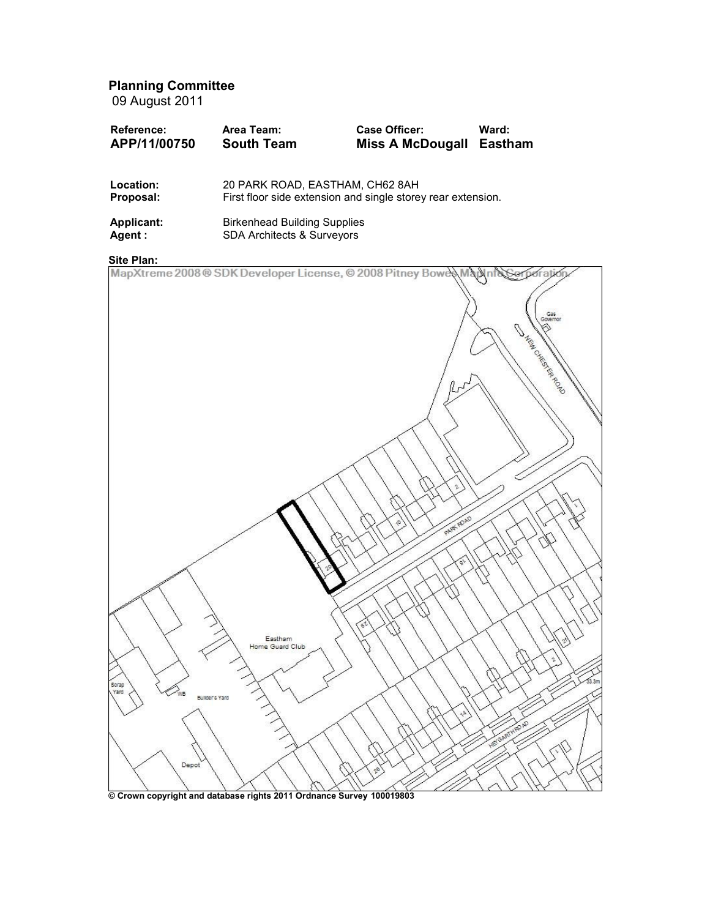Planning Committee

09 August 2011

| <b>Reference:</b> | Area Team:        | <b>Case Officer:</b>            | Ward: |
|-------------------|-------------------|---------------------------------|-------|
| APP/11/00750      | <b>South Team</b> | <b>Miss A McDougall Eastham</b> |       |

| Location: | 20 PARK ROAD, EASTHAM, CH62 8AH                              |
|-----------|--------------------------------------------------------------|
| Proposal: | First floor side extension and single storey rear extension. |
|           |                                                              |

| <b>Applicant:</b> | <b>Birkenhead Building Supplies</b> |
|-------------------|-------------------------------------|
| Agent :           | SDA Architects & Surveyors          |

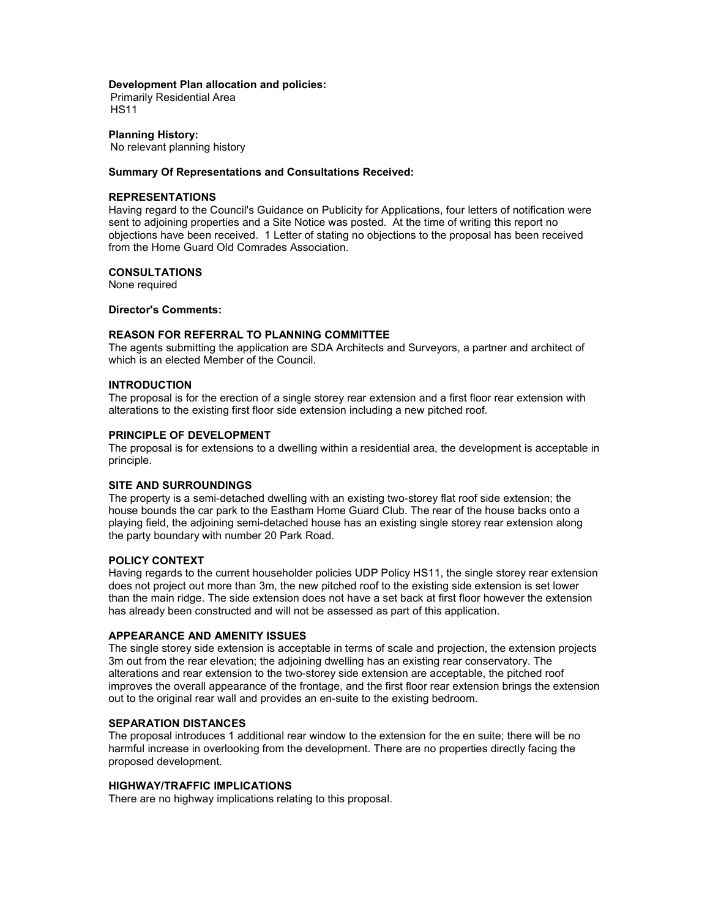#### Development Plan allocation and policies:

Primarily Residential Area HS11

# Planning History:

No relevant planning history

## Summary Of Representations and Consultations Received:

## REPRESENTATIONS

Having regard to the Council's Guidance on Publicity for Applications, four letters of notification were sent to adjoining properties and a Site Notice was posted. At the time of writing this report no objections have been received. 1 Letter of stating no objections to the proposal has been received from the Home Guard Old Comrades Association.

#### CONSULTATIONS

None required

#### Director's Comments:

#### REASON FOR REFERRAL TO PLANNING COMMITTEE

The agents submitting the application are SDA Architects and Surveyors, a partner and architect of which is an elected Member of the Council.

#### INTRODUCTION

The proposal is for the erection of a single storey rear extension and a first floor rear extension with alterations to the existing first floor side extension including a new pitched roof.

## PRINCIPLE OF DEVELOPMENT

The proposal is for extensions to a dwelling within a residential area, the development is acceptable in principle.

#### SITE AND SURROUNDINGS

The property is a semi-detached dwelling with an existing two-storey flat roof side extension; the house bounds the car park to the Eastham Home Guard Club. The rear of the house backs onto a playing field, the adjoining semi-detached house has an existing single storey rear extension along the party boundary with number 20 Park Road.

#### POLICY CONTEXT

Having regards to the current householder policies UDP Policy HS11, the single storey rear extension does not project out more than 3m, the new pitched roof to the existing side extension is set lower than the main ridge. The side extension does not have a set back at first floor however the extension has already been constructed and will not be assessed as part of this application.

#### APPEARANCE AND AMENITY ISSUES

The single storey side extension is acceptable in terms of scale and projection, the extension projects 3m out from the rear elevation; the adjoining dwelling has an existing rear conservatory. The alterations and rear extension to the two-storey side extension are acceptable, the pitched roof improves the overall appearance of the frontage, and the first floor rear extension brings the extension out to the original rear wall and provides an en-suite to the existing bedroom.

#### SEPARATION DISTANCES

The proposal introduces 1 additional rear window to the extension for the en suite; there will be no harmful increase in overlooking from the development. There are no properties directly facing the proposed development.

#### HIGHWAY/TRAFFIC IMPLICATIONS

There are no highway implications relating to this proposal.